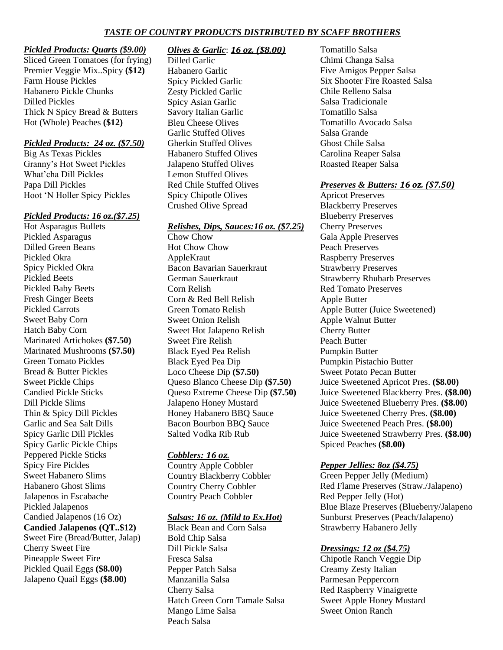# **TASTE OF COUNTRY PRODUCTS DISTRIBUTED BY SCAFF BROTHERS**

#### *Pickled Products: Quarts (\$9.00)*

Sliced Green Tomatoes (for frying) Premier Veggie Mix..Spicy **(\$12)** Farm House Pickles Habanero Pickle Chunks Dilled Pickles Thick N Spicy Bread & Butters Hot (Whole) Peaches **(\$12)**

#### *Pickled Products: 24 oz. (\$7.50)*

Big As Texas Pickles Granny's Hot Sweet Pickles What'cha Dill Pickles Papa Dill Pickles Hoot 'N Holler Spicy Pickles

#### *Pickled Products: 16 oz.(\$7.25)*

Hot Asparagus Bullets Pickled Asparagus Dilled Green Beans Pickled Okra Spicy Pickled Okra Pickled Beets Pickled Baby Beets Fresh Ginger Beets Pickled Carrots Sweet Baby Corn Hatch Baby Corn Marinated Artichokes **(\$7.50)** Marinated Mushrooms **(\$7.50)** Green Tomato Pickles Bread & Butter Pickles Sweet Pickle Chips Candied Pickle Sticks Dill Pickle Slims Thin & Spicy Dill Pickles Garlic and Sea Salt Dills Spicy Garlic Dill Pickles Spicy Garlic Pickle Chips Peppered Pickle Sticks Spicy Fire Pickles Sweet Habanero Slims Habanero Ghost Slims Jalapenos in Escabache Pickled Jalapenos Candied Jalapenos (16 Oz) **Candied Jalapenos (QT..\$12)** Sweet Fire (Bread/Butter, Jalap) Cherry Sweet Fire

Pineapple Sweet Fire Pickled Quail Eggs **(\$8.00)** Jalapeno Quail Eggs **(\$8.00)**

#### *Olives & Garlic*: *16 oz. (\$8.00)*

Dilled Garlic Habanero Garlic Spicy Pickled Garlic Zesty Pickled Garlic Spicy Asian Garlic Savory Italian Garlic Bleu Cheese Olives Garlic Stuffed Olives Gherkin Stuffed Olives Habanero Stuffed Olives Jalapeno Stuffed Olives Lemon Stuffed Olives Red Chile Stuffed Olives Spicy Chipotle Olives Crushed Olive Spread

#### *Relishes, Dips, Sauces:16 oz. (\$7.25)*

Chow Chow Hot Chow Chow AppleKraut Bacon Bavarian Sauerkraut German Sauerkraut Corn Relish Corn & Red Bell Relish Green Tomato Relish Sweet Onion Relish Sweet Hot Jalapeno Relish Sweet Fire Relish Black Eyed Pea Relish Black Eyed Pea Dip Loco Cheese Dip **(\$7.50)** Queso Blanco Cheese Dip **(\$7.50)** Queso Extreme Cheese Dip **(\$7.50)** Jalapeno Honey Mustard Honey Habanero BBQ Sauce Bacon Bourbon BBQ Sauce Salted Vodka Rib Rub

#### *Cobblers: 16 oz.*

Country Apple Cobbler Country Blackberry Cobbler Country Cherry Cobbler Country Peach Cobbler

#### *Salsas: 16 oz. (Mild to Ex.Hot)*

Black Bean and Corn Salsa Bold Chip Salsa Dill Pickle Salsa Fresca Salsa Pepper Patch Salsa Manzanilla Salsa Cherry Salsa Hatch Green Corn Tamale Salsa Mango Lime Salsa Peach Salsa

Tomatillo Salsa Chimi Changa Salsa Five Amigos Pepper Salsa Six Shooter Fire Roasted Salsa Chile Relleno Salsa Salsa Tradicionale Tomatillo Salsa Tomatillo Avocado Salsa Salsa Grande Ghost Chile Salsa Carolina Reaper Salsa Roasted Reaper Salsa

#### *Preserves & Butters: 16 oz. (\$7.50)*

Apricot Preserves Blackberry Preserves Blueberry Preserves Cherry Preserves Gala Apple Preserves Peach Preserves Raspberry Preserves Strawberry Preserves Strawberry Rhubarb Preserves Red Tomato Preserves Apple Butter Apple Butter (Juice Sweetened) Apple Walnut Butter Cherry Butter Peach Butter Pumpkin Butter Pumpkin Pistachio Butter Sweet Potato Pecan Butter Juice Sweetened Apricot Pres. **(\$8.00)** Juice Sweetened Blackberry Pres. **(\$8.00)** Juice Sweetened Blueberry Pres. **(\$8.00)** Juice Sweetened Cherry Pres. **(\$8.00)** Juice Sweetened Peach Pres. **(\$8.00)** Juice Sweetened Strawberry Pres. **(\$8.00)** Spiced Peaches **(\$8.00)**

## *Pepper Jellies: 8oz (\$4.75)*

Green Pepper Jelly (Medium) Red Flame Preserves (Straw./Jalapeno) Red Pepper Jelly (Hot) Blue Blaze Preserves (Blueberry/Jalapeno Sunburst Preserves (Peach/Jalapeno) Strawberry Habanero Jelly

## *Dressings: 12 oz (\$4.75)*

Chipotle Ranch Veggie Dip Creamy Zesty Italian Parmesan Peppercorn Red Raspberry Vinaigrette Sweet Apple Honey Mustard Sweet Onion Ranch